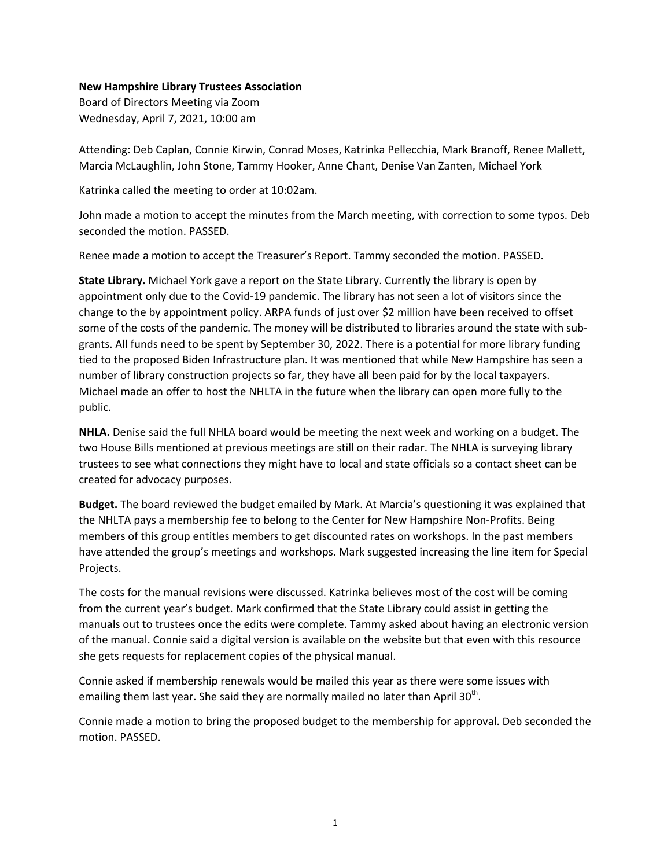## **New Hampshire Library Trustees Association**

Board of Directors Meeting via Zoom Wednesday, April 7, 2021, 10:00 am

Attending: Deb Caplan, Connie Kirwin, Conrad Moses, Katrinka Pellecchia, Mark Branoff, Renee Mallett, Marcia McLaughlin, John Stone, Tammy Hooker, Anne Chant, Denise Van Zanten, Michael York

Katrinka called the meeting to order at 10:02am.

John made a motion to accept the minutes from the March meeting, with correction to some typos. Deb seconded the motion. PASSED.

Renee made a motion to accept the Treasurer's Report. Tammy seconded the motion. PASSED.

**State Library.** Michael York gave a report on the State Library. Currently the library is open by appointment only due to the Covid-19 pandemic. The library has not seen a lot of visitors since the change to the by appointment policy. ARPA funds of just over \$2 million have been received to offset some of the costs of the pandemic. The money will be distributed to libraries around the state with subgrants. All funds need to be spent by September 30, 2022. There is a potential for more library funding tied to the proposed Biden Infrastructure plan. It was mentioned that while New Hampshire has seen a number of library construction projects so far, they have all been paid for by the local taxpayers. Michael made an offer to host the NHLTA in the future when the library can open more fully to the public.

**NHLA.** Denise said the full NHLA board would be meeting the next week and working on a budget. The two House Bills mentioned at previous meetings are still on their radar. The NHLA is surveying library trustees to see what connections they might have to local and state officials so a contact sheet can be created for advocacy purposes.

**Budget.** The board reviewed the budget emailed by Mark. At Marcia's questioning it was explained that the NHLTA pays a membership fee to belong to the Center for New Hampshire Non-Profits. Being members of this group entitles members to get discounted rates on workshops. In the past members have attended the group's meetings and workshops. Mark suggested increasing the line item for Special Projects.

The costs for the manual revisions were discussed. Katrinka believes most of the cost will be coming from the current year's budget. Mark confirmed that the State Library could assist in getting the manuals out to trustees once the edits were complete. Tammy asked about having an electronic version of the manual. Connie said a digital version is available on the website but that even with this resource she gets requests for replacement copies of the physical manual.

Connie asked if membership renewals would be mailed this year as there were some issues with emailing them last year. She said they are normally mailed no later than April  $30<sup>th</sup>$ .

Connie made a motion to bring the proposed budget to the membership for approval. Deb seconded the motion. PASSED.